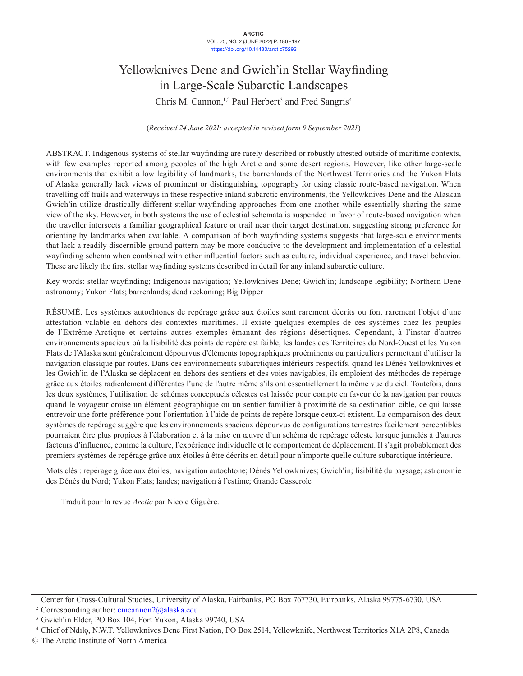#### **ARCTIC** VOL. 75, NO. 2 (JUNE 2022) P. 180–197 <https://doi.org/10.14430/arctic75292>

# Yellowknives Dene and Gwich'in Stellar Wayfinding in Large-Scale Subarctic Landscapes

Chris M. Cannon,<sup>1,2</sup> Paul Herbert<sup>3</sup> and Fred Sangris<sup>4</sup>

(*Received 24 June 2021; accepted in revised form 9 September 2021*)

ABSTRACT. Indigenous systems of stellar wayfinding are rarely described or robustly attested outside of maritime contexts, with few examples reported among peoples of the high Arctic and some desert regions. However, like other large-scale environments that exhibit a low legibility of landmarks, the barrenlands of the Northwest Territories and the Yukon Flats of Alaska generally lack views of prominent or distinguishing topography for using classic route-based navigation. When travelling off trails and waterways in these respective inland subarctic environments, the Yellowknives Dene and the Alaskan Gwich'in utilize drastically different stellar wayfinding approaches from one another while essentially sharing the same view of the sky. However, in both systems the use of celestial schemata is suspended in favor of route-based navigation when the traveller intersects a familiar geographical feature or trail near their target destination, suggesting strong preference for orienting by landmarks when available. A comparison of both wayfinding systems suggests that large-scale environments that lack a readily discernible ground pattern may be more conducive to the development and implementation of a celestial wayfinding schema when combined with other influential factors such as culture, individual experience, and travel behavior. These are likely the first stellar wayfinding systems described in detail for any inland subarctic culture.

Key words: stellar wayfinding; Indigenous navigation; Yellowknives Dene; Gwich'in; landscape legibility; Northern Dene astronomy; Yukon Flats; barrenlands; dead reckoning; Big Dipper

RÉSUMÉ. Les systèmes autochtones de repérage grâce aux étoiles sont rarement décrits ou font rarement l'objet d'une attestation valable en dehors des contextes maritimes. Il existe quelques exemples de ces systèmes chez les peuples de l'Extrême-Arctique et certains autres exemples émanant des régions désertiques. Cependant, à l'instar d'autres environnements spacieux où la lisibilité des points de repère est faible, les landes des Territoires du Nord-Ouest et les Yukon Flats de l'Alaska sont généralement dépourvus d'éléments topographiques proéminents ou particuliers permettant d'utiliser la navigation classique par routes. Dans ces environnements subarctiques intérieurs respectifs, quand les Dénés Yellowknives et les Gwich'in de l'Alaska se déplacent en dehors des sentiers et des voies navigables, ils emploient des méthodes de repérage grâce aux étoiles radicalement différentes l'une de l'autre même s'ils ont essentiellement la même vue du ciel. Toutefois, dans les deux systèmes, l'utilisation de schémas conceptuels célestes est laissée pour compte en faveur de la navigation par routes quand le voyageur croise un élément géographique ou un sentier familier à proximité de sa destination cible, ce qui laisse entrevoir une forte préférence pour l'orientation à l'aide de points de repère lorsque ceux-ci existent. La comparaison des deux systèmes de repérage suggère que les environnements spacieux dépourvus de configurations terrestres facilement perceptibles pourraient être plus propices à l'élaboration et à la mise en œuvre d'un schéma de repérage céleste lorsque jumelés à d'autres facteurs d'influence, comme la culture, l'expérience individuelle et le comportement de déplacement. Il s'agit probablement des premiers systèmes de repérage grâce aux étoiles à être décrits en détail pour n'importe quelle culture subarctique intérieure.

Mots clés : repérage grâce aux étoiles; navigation autochtone; Dénés Yellowknives; Gwich'in; lisibilité du paysage; astronomie des Dénés du Nord; Yukon Flats; landes; navigation à l'estime; Grande Casserole

Traduit pour la revue *Arctic* par Nicole Giguère.

<sup>&</sup>lt;sup>1</sup> Center for Cross-Cultural Studies, University of Alaska, Fairbanks, PO Box 767730, Fairbanks, Alaska 99775-6730, USA

<sup>&</sup>lt;sup>2</sup> Corresponding author:  $c$ mcannon $2$ @alaska.edu

<sup>&</sup>lt;sup>3</sup> Gwich'in Elder, PO Box 104, Fort Yukon, Alaska 99740, USA

<sup>4</sup>Chief of Ndılǫ, N.W.T. Yellowknives Dene First Nation, PO Box 2514, Yellowknife, Northwest Territories X1A 2P8, Canada

<sup>©</sup> The Arctic Institute of North America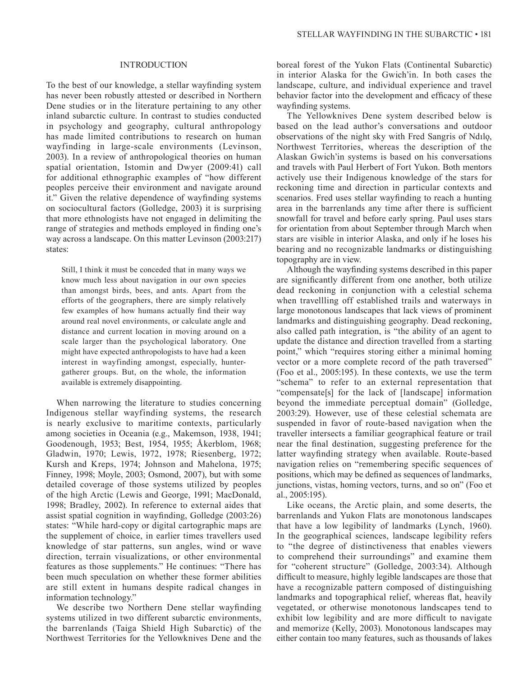#### INTRODUCTION

To the best of our knowledge, a stellar wayfinding system has never been robustly attested or described in Northern Dene studies or in the literature pertaining to any other inland subarctic culture. In contrast to studies conducted in psychology and geography, cultural anthropology has made limited contributions to research on human wayfinding in large-scale environments (Levinson, 2003). In a review of anthropological theories on human spatial orientation, Istomin and Dwyer (2009:41) call for additional ethnographic examples of "how different peoples perceive their environment and navigate around it." Given the relative dependence of wayfinding systems on sociocultural factors (Golledge, 2003) it is surprising that more ethnologists have not engaged in delimiting the range of strategies and methods employed in finding one's way across a landscape. On this matter Levinson (2003:217) states:

Still, I think it must be conceded that in many ways we know much less about navigation in our own species than amongst birds, bees, and ants. Apart from the efforts of the geographers, there are simply relatively few examples of how humans actually find their way around real novel environments, or calculate angle and distance and current location in moving around on a scale larger than the psychological laboratory. One might have expected anthropologists to have had a keen interest in wayfinding amongst, especially, huntergatherer groups. But, on the whole, the information available is extremely disappointing.

When narrowing the literature to studies concerning Indigenous stellar wayfinding systems, the research is nearly exclusive to maritime contexts, particularly among societies in Oceania (e.g., Makemson, 1938, 1941; Goodenough, 1953; Best, 1954, 1955; Åkerblom, 1968; Gladwin, 1970; Lewis, 1972, 1978; Riesenberg, 1972; Kursh and Kreps, 1974; Johnson and Mahelona, 1975; Finney, 1998; Moyle, 2003; Osmond, 2007), but with some detailed coverage of those systems utilized by peoples of the high Arctic (Lewis and George, 1991; MacDonald, 1998; Bradley, 2002). In reference to external aides that assist spatial cognition in wayfinding, Golledge (2003:26) states: "While hard-copy or digital cartographic maps are the supplement of choice, in earlier times travellers used knowledge of star patterns, sun angles, wind or wave direction, terrain visualizations, or other environmental features as those supplements." He continues: "There has been much speculation on whether these former abilities are still extent in humans despite radical changes in information technology."

We describe two Northern Dene stellar wayfinding systems utilized in two different subarctic environments, the barrenlands (Taiga Shield High Subarctic) of the Northwest Territories for the Yellowknives Dene and the

boreal forest of the Yukon Flats (Continental Subarctic) in interior Alaska for the Gwich'in. In both cases the landscape, culture, and individual experience and travel behavior factor into the development and efficacy of these wayfinding systems.

The Yellowknives Dene system described below is based on the lead author's conversations and outdoor observations of the night sky with Fred Sangris of Ndılǫ, Northwest Territories, whereas the description of the Alaskan Gwich'in systems is based on his conversations and travels with Paul Herbert of Fort Yukon. Both mentors actively use their Indigenous knowledge of the stars for reckoning time and direction in particular contexts and scenarios. Fred uses stellar wayfinding to reach a hunting area in the barrenlands any time after there is sufficient snowfall for travel and before early spring. Paul uses stars for orientation from about September through March when stars are visible in interior Alaska, and only if he loses his bearing and no recognizable landmarks or distinguishing topography are in view.

Although the wayfinding systems described in this paper are significantly different from one another, both utilize dead reckoning in conjunction with a celestial schema when travellling off established trails and waterways in large monotonous landscapes that lack views of prominent landmarks and distinguishing geography. Dead reckoning, also called path integration, is "the ability of an agent to update the distance and direction travelled from a starting point," which "requires storing either a minimal homing vector or a more complete record of the path traversed" (Foo et al., 2005:195). In these contexts, we use the term "schema" to refer to an external representation that "compensate[s] for the lack of [landscape] information beyond the immediate perceptual domain" (Golledge, 2003:29). However, use of these celestial schemata are suspended in favor of route-based navigation when the traveller intersects a familiar geographical feature or trail near the final destination, suggesting preference for the latter wayfinding strategy when available. Route-based navigation relies on "remembering specific sequences of positions, which may be defined as sequences of landmarks, junctions, vistas, homing vectors, turns, and so on" (Foo et al., 2005:195).

Like oceans, the Arctic plain, and some deserts, the barrenlands and Yukon Flats are monotonous landscapes that have a low legibility of landmarks (Lynch, 1960). In the geographical sciences, landscape legibility refers to "the degree of distinctiveness that enables viewers to comprehend their surroundings" and examine them for "coherent structure" (Golledge, 2003:34). Although difficult to measure, highly legible landscapes are those that have a recognizable pattern composed of distinguishing landmarks and topographical relief, whereas flat, heavily vegetated, or otherwise monotonous landscapes tend to exhibit low legibility and are more difficult to navigate and memorize (Kelly, 2003). Monotonous landscapes may either contain too many features, such as thousands of lakes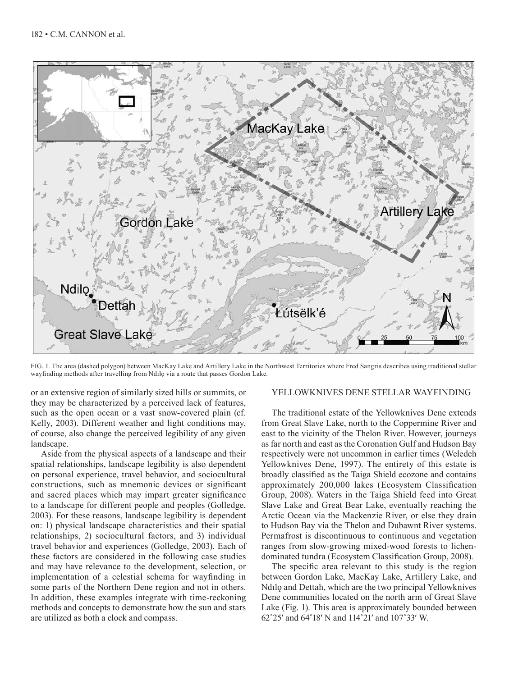

FIG. 1. The area (dashed polygon) between MacKay Lake and Artillery Lake in the Northwest Territories where Fred Sangris describes using traditional stellar wayfinding methods after travelling from Ndılo via a route that passes Gordon Lake.

or an extensive region of similarly sized hills or summits, or they may be characterized by a perceived lack of features, such as the open ocean or a vast snow-covered plain (cf. Kelly, 2003). Different weather and light conditions may, of course, also change the perceived legibility of any given landscape.

Aside from the physical aspects of a landscape and their spatial relationships, landscape legibility is also dependent on personal experience, travel behavior, and sociocultural constructions, such as mnemonic devices or significant and sacred places which may impart greater significance to a landscape for different people and peoples (Golledge, 2003). For these reasons, landscape legibility is dependent on: 1) physical landscape characteristics and their spatial relationships, 2) sociocultural factors, and 3) individual travel behavior and experiences (Golledge, 2003). Each of these factors are considered in the following case studies and may have relevance to the development, selection, or implementation of a celestial schema for wayfinding in some parts of the Northern Dene region and not in others. In addition, these examples integrate with time-reckoning methods and concepts to demonstrate how the sun and stars are utilized as both a clock and compass.

# YELLOWKNIVES DENE STELLAR WAYFINDING

The traditional estate of the Yellowknives Dene extends from Great Slave Lake, north to the Coppermine River and east to the vicinity of the Thelon River. However, journeys as far north and east as the Coronation Gulf and Hudson Bay respectively were not uncommon in earlier times (Weledeh Yellowknives Dene, 1997). The entirety of this estate is broadly classified as the Taiga Shield ecozone and contains approximately 200,000 lakes (Ecosystem Classification Group, 2008). Waters in the Taiga Shield feed into Great Slave Lake and Great Bear Lake, eventually reaching the Arctic Ocean via the Mackenzie River, or else they drain to Hudson Bay via the Thelon and Dubawnt River systems. Permafrost is discontinuous to continuous and vegetation ranges from slow-growing mixed-wood forests to lichendominated tundra (Ecosystem Classification Group, 2008).

The specific area relevant to this study is the region between Gordon Lake, MacKay Lake, Artillery Lake, and Ndilo and Dettah, which are the two principal Yellowknives Dene communities located on the north arm of Great Slave Lake (Fig. 1). This area is approximately bounded between 62˚25ʹ and 64˚18ʹ N and 114˚21ʹ and 107˚33ʹ W.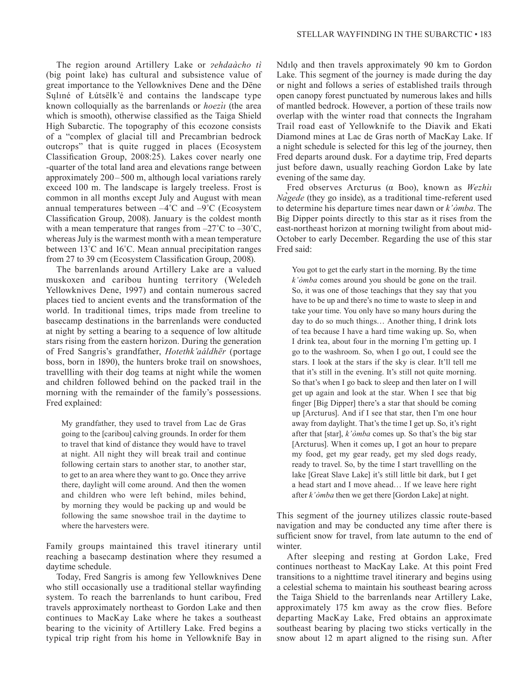The region around Artillery Lake or *zehdaàcho tì* (big point lake) has cultural and subsistence value of great importance to the Yellowknives Dene and the Dëne Sųlıné of Łútsëlk'é and contains the landscape type known colloquially as the barrenlands or *hoezı̀ ı* (the area which is smooth), otherwise classified as the Taiga Shield High Subarctic. The topography of this ecozone consists of a "complex of glacial till and Precambrian bedrock outcrops" that is quite rugged in places (Ecosystem Classification Group, 2008:25). Lakes cover nearly one -quarter of the total land area and elevations range between approximately  $200 - 500$  m, although local variations rarely exceed 100 m. The landscape is largely treeless. Frost is common in all months except July and August with mean annual temperatures between  $-4^{\circ}$ C and  $-9^{\circ}$ C (Ecosystem Classification Group, 2008). January is the coldest month with a mean temperature that ranges from  $-27^{\circ}$ C to  $-30^{\circ}$ C, whereas July is the warmest month with a mean temperature between 13˚C and 16˚C. Mean annual precipitation ranges from 27 to 39 cm (Ecosystem Classification Group, 2008).

The barrenlands around Artillery Lake are a valued muskoxen and caribou hunting territory (Weledeh Yellowknives Dene, 1997) and contain numerous sacred places tied to ancient events and the transformation of the world. In traditional times, trips made from treeline to basecamp destinations in the barrenlands were conducted at night by setting a bearing to a sequence of low altitude stars rising from the eastern horizon. During the generation of Fred Sangris's grandfather, *Hotethk'aáldhër* (portage boss, born in 1890), the hunters broke trail on snowshoes, travellling with their dog teams at night while the women and children followed behind on the packed trail in the morning with the remainder of the family's possessions. Fred explained:

My grandfather, they used to travel from Lac de Gras going to the [caribou] calving grounds. In order for them to travel that kind of distance they would have to travel at night. All night they will break trail and continue following certain stars to another star, to another star, to get to an area where they want to go. Once they arrive there, daylight will come around. And then the women and children who were left behind, miles behind, by morning they would be packing up and would be following the same snowshoe trail in the daytime to where the harvesters were.

Family groups maintained this travel itinerary until reaching a basecamp destination where they resumed a daytime schedule.

Today, Fred Sangris is among few Yellowknives Dene who still occasionally use a traditional stellar wayfinding system. To reach the barrenlands to hunt caribou, Fred travels approximately northeast to Gordon Lake and then continues to MacKay Lake where he takes a southeast bearing to the vicinity of Artillery Lake. Fred begins a typical trip right from his home in Yellowknife Bay in

Ndilo and then travels approximately 90 km to Gordon Lake. This segment of the journey is made during the day or night and follows a series of established trails through open canopy forest punctuated by numerous lakes and hills of mantled bedrock. However, a portion of these trails now overlap with the winter road that connects the Ingraham Trail road east of Yellowknife to the Diavik and Ekati Diamond mines at Lac de Gras north of MacKay Lake. If a night schedule is selected for this leg of the journey, then Fred departs around dusk. For a daytime trip, Fred departs just before dawn, usually reaching Gordon Lake by late evening of the same day.

Fred observes Arcturus (α Boo), known as *Wezhìı Nagede ̀* (they go inside), as a traditional time-referent used to determine his departure times near dawn or *k'òmba*. The Big Dipper points directly to this star as it rises from the east-northeast horizon at morning twilight from about mid-October to early December. Regarding the use of this star Fred said:

You got to get the early start in the morning. By the time *k'òmba* comes around you should be gone on the trail. So, it was one of those teachings that they say that you have to be up and there's no time to waste to sleep in and take your time. You only have so many hours during the day to do so much things… Another thing, I drink lots of tea because I have a hard time waking up. So, when I drink tea, about four in the morning I'm getting up. I go to the washroom. So, when I go out, I could see the stars. I look at the stars if the sky is clear. It'll tell me that it's still in the evening. It's still not quite morning. So that's when I go back to sleep and then later on I will get up again and look at the star. When I see that big finger [Big Dipper] there's a star that should be coming up [Arcturus]. And if I see that star, then I'm one hour away from daylight. That's the time I get up. So, it's right after that [star], *k'òmba* comes up. So that's the big star [Arcturus]. When it comes up, I got an hour to prepare my food, get my gear ready, get my sled dogs ready, ready to travel. So, by the time I start travellling on the lake [Great Slave Lake] it's still little bit dark, but I get a head start and I move ahead… If we leave here right after *k'òmba* then we get there [Gordon Lake] at night.

This segment of the journey utilizes classic route-based navigation and may be conducted any time after there is sufficient snow for travel, from late autumn to the end of winter.

After sleeping and resting at Gordon Lake, Fred continues northeast to MacKay Lake. At this point Fred transitions to a nighttime travel itinerary and begins using a celestial schema to maintain his southeast bearing across the Taiga Shield to the barrenlands near Artillery Lake, approximately 175 km away as the crow flies. Before departing MacKay Lake, Fred obtains an approximate southeast bearing by placing two sticks vertically in the snow about 12 m apart aligned to the rising sun. After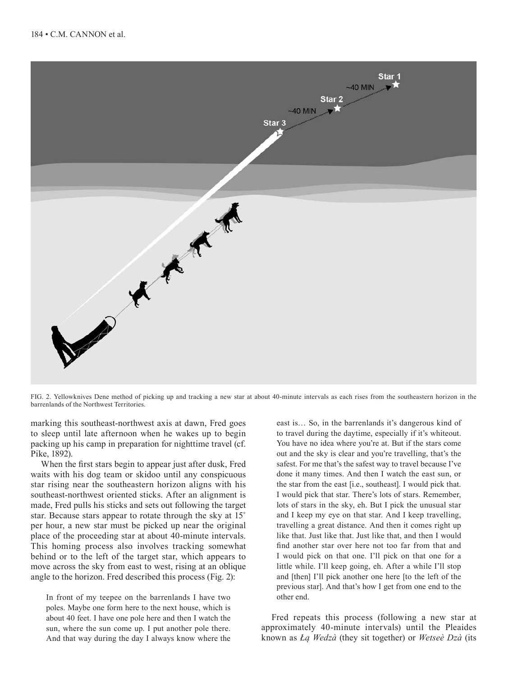

FIG. 2. Yellowknives Dene method of picking up and tracking a new star at about 40-minute intervals as each rises from the southeastern horizon in the barrenlands of the Northwest Territories.

marking this southeast-northwest axis at dawn, Fred goes to sleep until late afternoon when he wakes up to begin packing up his camp in preparation for nighttime travel (cf. Pike, 1892).

When the first stars begin to appear just after dusk, Fred waits with his dog team or skidoo until any conspicuous star rising near the southeastern horizon aligns with his southeast-northwest oriented sticks. After an alignment is made, Fred pulls his sticks and sets out following the target star. Because stars appear to rotate through the sky at 15˚ per hour, a new star must be picked up near the original place of the proceeding star at about 40-minute intervals. This homing process also involves tracking somewhat behind or to the left of the target star, which appears to move across the sky from east to west, rising at an oblique angle to the horizon. Fred described this process (Fig. 2):

In front of my teepee on the barrenlands I have two poles. Maybe one form here to the next house, which is about 40 feet. I have one pole here and then I watch the sun, where the sun come up. I put another pole there. And that way during the day I always know where the

east is… So, in the barrenlands it's dangerous kind of to travel during the daytime, especially if it's whiteout. You have no idea where you're at. But if the stars come out and the sky is clear and you're travelling, that's the safest. For me that's the safest way to travel because I've done it many times. And then I watch the east sun, or the star from the east [i.e., southeast]. I would pick that. I would pick that star. There's lots of stars. Remember, lots of stars in the sky, eh. But I pick the unusual star and I keep my eye on that star. And I keep travelling, travelling a great distance. And then it comes right up like that. Just like that. Just like that, and then I would find another star over here not too far from that and I would pick on that one. I'll pick on that one for a little while. I'll keep going, eh. After a while I'll stop and [then] I'll pick another one here [to the left of the previous star]. And that's how I get from one end to the other end.

Fred repeats this process (following a new star at approximately 40-minute intervals) until the Pleaides known as *Łą Wedzà* (they sit together) or *Wetseè Dzà* (its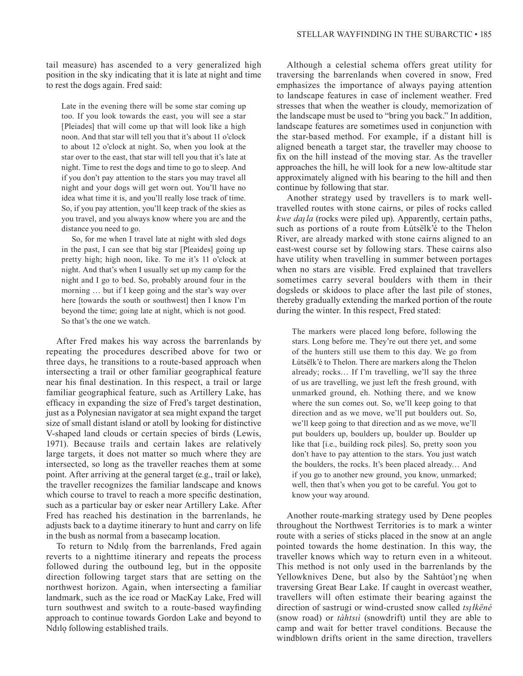tail measure) has ascended to a very generalized high position in the sky indicating that it is late at night and time to rest the dogs again. Fred said:

Late in the evening there will be some star coming up too. If you look towards the east, you will see a star [Pleiades] that will come up that will look like a high noon. And that star will tell you that it's about 11 o'clock to about 12 o'clock at night. So, when you look at the star over to the east, that star will tell you that it's late at night. Time to rest the dogs and time to go to sleep. And if you don't pay attention to the stars you may travel all night and your dogs will get worn out. You'll have no idea what time it is, and you'll really lose track of time. So, if you pay attention, you'll keep track of the skies as you travel, and you always know where you are and the distance you need to go.

So, for me when I travel late at night with sled dogs in the past, I can see that big star [Pleaides] going up pretty high; high noon, like. To me it's 11 o'clock at night. And that's when I usually set up my camp for the night and I go to bed. So, probably around four in the morning … but if I keep going and the star's way over here [towards the south or southwest] then I know I'm beyond the time; going late at night, which is not good. So that's the one we watch.

After Fred makes his way across the barrenlands by repeating the procedures described above for two or three days, he transitions to a route-based approach when intersecting a trail or other familiar geographical feature near his final destination. In this respect, a trail or large familiar geographical feature, such as Artillery Lake, has efficacy in expanding the size of Fred's target destination, just as a Polynesian navigator at sea might expand the target size of small distant island or atoll by looking for distinctive V-shaped land clouds or certain species of birds (Lewis, 1971). Because trails and certain lakes are relatively large targets, it does not matter so much where they are intersected, so long as the traveller reaches them at some point. After arriving at the general target (e.g., trail or lake), the traveller recognizes the familiar landscape and knows which course to travel to reach a more specific destination, such as a particular bay or esker near Artillery Lake. After Fred has reached his destination in the barrenlands, he adjusts back to a daytime itinerary to hunt and carry on life in the bush as normal from a basecamp location.

To return to Ndilo from the barrenlands, Fred again reverts to a nighttime itinerary and repeats the process followed during the outbound leg, but in the opposite direction following target stars that are setting on the northwest horizon. Again, when intersecting a familiar landmark, such as the ice road or MacKay Lake, Fred will turn southwest and switch to a route-based wayfinding approach to continue towards Gordon Lake and beyond to Ndılo following established trails.

Although a celestial schema offers great utility for traversing the barrenlands when covered in snow, Fred emphasizes the importance of always paying attention to landscape features in case of inclement weather. Fred stresses that when the weather is cloudy, memorization of the landscape must be used to "bring you back." In addition, landscape features are sometimes used in conjunction with the star-based method. For example, if a distant hill is aligned beneath a target star, the traveller may choose to fix on the hill instead of the moving star. As the traveller approaches the hill, he will look for a new low-altitude star approximately aligned with his bearing to the hill and then continue by following that star.

Another strategy used by travellers is to mark welltravelled routes with stone cairns, or piles of rocks called *kwe daila* (rocks were piled up). Apparently, certain paths, such as portions of a route from Łútsëlk'é to the Thelon River, are already marked with stone cairns aligned to an east-west course set by following stars. These cairns also have utility when travelling in summer between portages when no stars are visible. Fred explained that travellers sometimes carry several boulders with them in their dogsleds or skidoos to place after the last pile of stones, thereby gradually extending the marked portion of the route during the winter. In this respect, Fred stated:

The markers were placed long before, following the stars. Long before me. They're out there yet, and some of the hunters still use them to this day. We go from Łútsëlk'é to Thelon. There are markers along the Thelon already; rocks… If I'm travelling, we'll say the three of us are travelling, we just left the fresh ground, with unmarked ground, eh. Nothing there, and we know where the sun comes out. So, we'll keep going to that direction and as we move, we'll put boulders out. So, we'll keep going to that direction and as we move, we'll put boulders up, boulders up, boulder up. Boulder up like that [i.e., building rock piles]. So, pretty soon you don't have to pay attention to the stars. You just watch the boulders, the rocks. It's been placed already… And if you go to another new ground, you know, unmarked; well, then that's when you got to be careful. You got to know your way around.

Another route-marking strategy used by Dene peoples throughout the Northwest Territories is to mark a winter route with a series of sticks placed in the snow at an angle pointed towards the home destination. In this way, the traveller knows which way to return even in a whiteout. This method is not only used in the barrenlands by the Yellowknives Dene, but also by the Sahtúot'<sub>1</sub>ne when traversing Great Bear Lake. If caught in overcast weather, travellers will often estimate their bearing against the direction of sastrugi or wind-crusted snow called *tsi* łkëné (snow road) or *tàhtsıì* (snowdrift) until they are able to camp and wait for better travel conditions. Because the windblown drifts orient in the same direction, travellers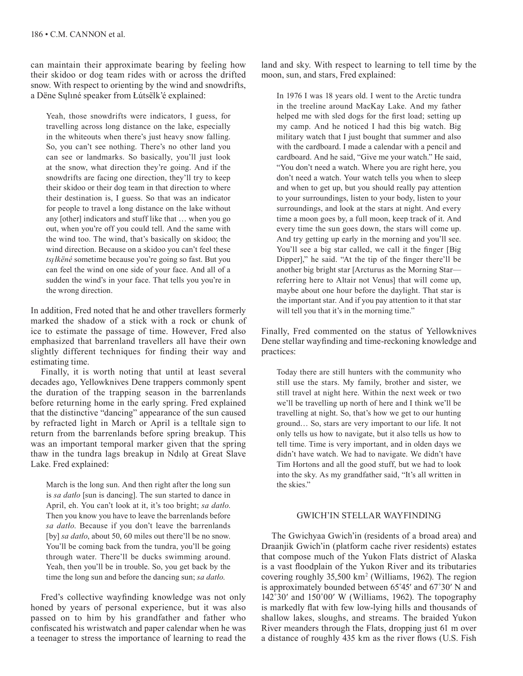can maintain their approximate bearing by feeling how their skidoo or dog team rides with or across the drifted snow. With respect to orienting by the wind and snowdrifts, a Dëne Sųlıné speaker from Łútsëlk'é explained:

Yeah, those snowdrifts were indicators, I guess, for travelling across long distance on the lake, especially in the whiteouts when there's just heavy snow falling. So, you can't see nothing. There's no other land you can see or landmarks. So basically, you'll just look at the snow, what direction they're going. And if the snowdrifts are facing one direction, they'll try to keep their skidoo or their dog team in that direction to where their destination is, I guess. So that was an indicator for people to travel a long distance on the lake without any [other] indicators and stuff like that … when you go out, when you're off you could tell. And the same with the wind too. The wind, that's basically on skidoo; the wind direction. Because on a skidoo you can't feel these *tsı̨ łkëné* sometime because you're going so fast. But you can feel the wind on one side of your face. And all of a sudden the wind's in your face. That tells you you're in the wrong direction.

In addition, Fred noted that he and other travellers formerly marked the shadow of a stick with a rock or chunk of ice to estimate the passage of time. However, Fred also emphasized that barrenland travellers all have their own slightly different techniques for finding their way and estimating time.

Finally, it is worth noting that until at least several decades ago, Yellowknives Dene trappers commonly spent the duration of the trapping season in the barrenlands before returning home in the early spring. Fred explained that the distinctive "dancing" appearance of the sun caused by refracted light in March or April is a telltale sign to return from the barrenlands before spring breakup. This was an important temporal marker given that the spring thaw in the tundra lags breakup in Ndılǫ at Great Slave Lake. Fred explained:

March is the long sun. And then right after the long sun is *sa datło* [sun is dancing]. The sun started to dance in April, eh. You can't look at it, it's too bright; *sa datło*. Then you know you have to leave the barrenlands before *sa datło*. Because if you don't leave the barrenlands [by] *sa datło*, about 50, 60 miles out there'll be no snow. You'll be coming back from the tundra, you'll be going through water. There'll be ducks swimming around. Yeah, then you'll be in trouble. So, you get back by the time the long sun and before the dancing sun; *sa datło*.

Fred's collective wayfinding knowledge was not only honed by years of personal experience, but it was also passed on to him by his grandfather and father who confiscated his wristwatch and paper calendar when he was a teenager to stress the importance of learning to read the land and sky. With respect to learning to tell time by the moon, sun, and stars, Fred explained:

In 1976 I was 18 years old. I went to the Arctic tundra in the treeline around MacKay Lake. And my father helped me with sled dogs for the first load; setting up my camp. And he noticed I had this big watch. Big military watch that I just bought that summer and also with the cardboard. I made a calendar with a pencil and cardboard. And he said, "Give me your watch." He said, "You don't need a watch. Where you are right here, you don't need a watch. Your watch tells you when to sleep and when to get up, but you should really pay attention to your surroundings, listen to your body, listen to your surroundings, and look at the stars at night. And every time a moon goes by, a full moon, keep track of it. And every time the sun goes down, the stars will come up. And try getting up early in the morning and you'll see. You'll see a big star called, we call it the finger [Big Dipper]," he said. "At the tip of the finger there'll be another big bright star [Arcturus as the Morning Star referring here to Altair not Venus] that will come up, maybe about one hour before the daylight. That star is the important star. And if you pay attention to it that star will tell you that it's in the morning time."

Finally, Fred commented on the status of Yellowknives Dene stellar wayfinding and time-reckoning knowledge and practices:

Today there are still hunters with the community who still use the stars. My family, brother and sister, we still travel at night here. Within the next week or two we'll be travelling up north of here and I think we'll be travelling at night. So, that's how we get to our hunting ground… So, stars are very important to our life. It not only tells us how to navigate, but it also tells us how to tell time. Time is very important, and in olden days we didn't have watch. We had to navigate. We didn't have Tim Hortons and all the good stuff, but we had to look into the sky. As my grandfather said, "It's all written in the skies."

## GWICH'IN STELLAR WAYFINDING

The Gwichyaa Gwich'in (residents of a broad area) and Draanjik Gwich'in (platform cache river residents) estates that compose much of the Yukon Flats district of Alaska is a vast floodplain of the Yukon River and its tributaries covering roughly 35,500 km<sup>2</sup> (Williams, 1962). The region is approximately bounded between 65˚45ʹ and 67˚30ʹ N and 142˚30ʹ and 150˚00ʹ W (Williams, 1962). The topography is markedly flat with few low-lying hills and thousands of shallow lakes, sloughs, and streams. The braided Yukon River meanders through the Flats, dropping just 61 m over a distance of roughly 435 km as the river flows (U.S. Fish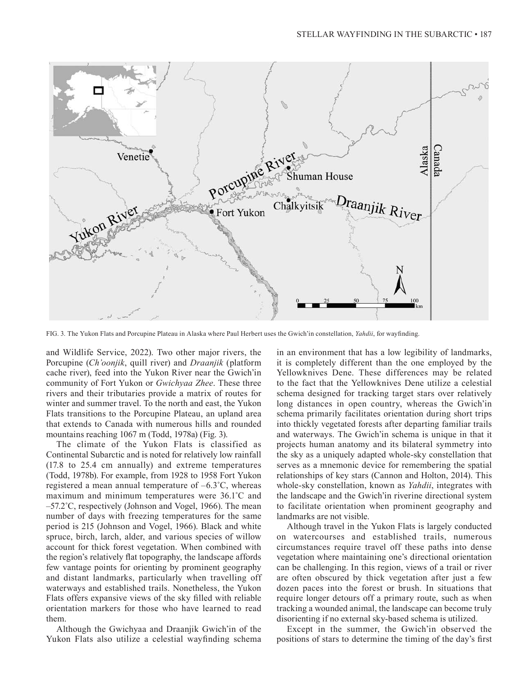

FIG. 3. The Yukon Flats and Porcupine Plateau in Alaska where Paul Herbert uses the Gwich'in constellation, *Yahdii*, for wayfinding.

and Wildlife Service, 2022). Two other major rivers, the Porcupine (*Ch'oonjik*, quill river) and *Draanjik* (platform cache river), feed into the Yukon River near the Gwich'in community of Fort Yukon or *Gwichyaa Zhee*. These three rivers and their tributaries provide a matrix of routes for winter and summer travel. To the north and east, the Yukon Flats transitions to the Porcupine Plateau, an upland area that extends to Canada with numerous hills and rounded mountains reaching 1067 m (Todd, 1978a) (Fig. 3).

The climate of the Yukon Flats is classified as Continental Subarctic and is noted for relatively low rainfall (17.8 to 25.4 cm annually) and extreme temperatures (Todd, 1978b). For example, from 1928 to 1958 Fort Yukon registered a mean annual temperature of –6.3˚C, whereas maximum and minimum temperatures were 36.1˚C and –57.2˚C, respectively (Johnson and Vogel, 1966). The mean number of days with freezing temperatures for the same period is 215 (Johnson and Vogel, 1966). Black and white spruce, birch, larch, alder, and various species of willow account for thick forest vegetation. When combined with the region's relatively flat topography, the landscape affords few vantage points for orienting by prominent geography and distant landmarks, particularly when travelling off waterways and established trails. Nonetheless, the Yukon Flats offers expansive views of the sky filled with reliable orientation markers for those who have learned to read them.

Although the Gwichyaa and Draanjik Gwich'in of the Yukon Flats also utilize a celestial wayfinding schema

in an environment that has a low legibility of landmarks, it is completely different than the one employed by the Yellowknives Dene. These differences may be related to the fact that the Yellowknives Dene utilize a celestial schema designed for tracking target stars over relatively long distances in open country, whereas the Gwich'in schema primarily facilitates orientation during short trips into thickly vegetated forests after departing familiar trails and waterways. The Gwich'in schema is unique in that it projects human anatomy and its bilateral symmetry into the sky as a uniquely adapted whole-sky constellation that serves as a mnemonic device for remembering the spatial relationships of key stars (Cannon and Holton, 2014). This whole-sky constellation, known as *Yahdii*, integrates with the landscape and the Gwich'in riverine directional system to facilitate orientation when prominent geography and landmarks are not visible.

Although travel in the Yukon Flats is largely conducted on watercourses and established trails, numerous circumstances require travel off these paths into dense vegetation where maintaining one's directional orientation can be challenging. In this region, views of a trail or river are often obscured by thick vegetation after just a few dozen paces into the forest or brush. In situations that require longer detours off a primary route, such as when tracking a wounded animal, the landscape can become truly disorienting if no external sky-based schema is utilized.

Except in the summer, the Gwich'in observed the positions of stars to determine the timing of the day's first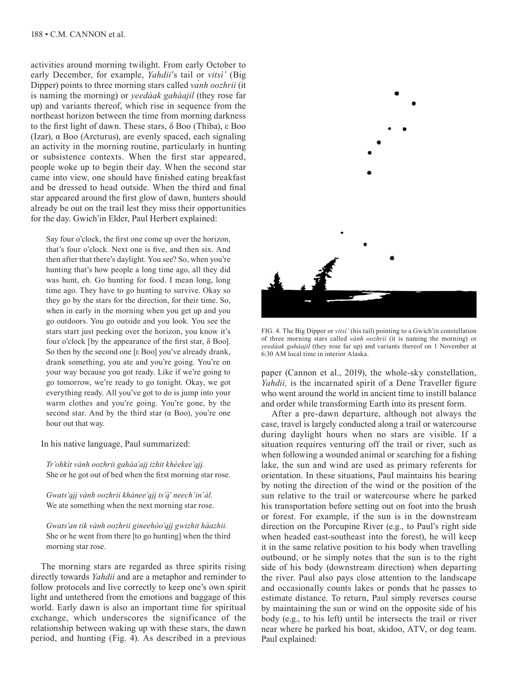activities around morning twilight. From early October to early December, for example, *Yahdii*'s tail or *vitsì'* (Big Dipper) points to three morning stars called *vanh oozhrii* (it is naming the morning) or *yeedàak gahàajil* (they rose far up) and variants thereof, which rise in sequence from the northeast horizon between the time from morning darkness to the first light of dawn. These stars, δ Boo (Thiba), ε Boo (Izar), α Boo (Arcturus), are evenly spaced, each signaling an activity in the morning routine, particularly in hunting or subsistence contexts. When the first star appeared, people woke up to begin their day. When the second star came into view, one should have finished eating breakfast and be dressed to head outside. When the third and final star appeared around the first glow of dawn, hunters should already be out on the trail lest they miss their opportunities for the day. Gwich'in Elder, Paul Herbert explained:

Say four o'clock, the first one come up over the horizon, that's four o'clock. Next one is five, and then six. And then after that there's daylight. You see? So, when you're hunting that's how people a long time ago, all they did was hunt, eh. Go hunting for food. I mean long, long time ago. They have to go hunting to survive. Okay so they go by the stars for the direction, for their time. So, when in early in the morning when you get up and you go outdoors. You go outside and you look. You see the stars start just peeking over the horizon, you know it's four o'clock [by the appearance of the first star, δ Boo]. So then by the second one [ε Boo] you've already drank, drank something, you ate and you're going. You're on your way because you got ready. Like if we're going to go tomorrow, we're ready to go tonight. Okay, we got everything ready. All you've got to do is jump into your warm clothes and you're going. You're gone, by the second star. And by the third star  $(\alpha$  Boo), you're one hour out that way.

In his native language, Paul summarized:

*Tr'ohkìt vành oozhrii gahàa'aįį izhit khèekee'ąįį.* She or he got out of bed when the first morning star rose.

*Gwats'ąįį vành oozhrii khànee'ąįį ts'ą̀ ' neech'in'àl.*  We ate something when the next morning star rose.

*Gwats'an tik vành oozhrii gineehòo'ąįį gwizhit hàazhii.*  She or he went from there [to go hunting] when the third morning star rose.

The morning stars are regarded as three spirits rising directly towards *Yahdii* and are a metaphor and reminder to follow protocols and live correctly to keep one's own spirit light and untethered from the emotions and baggage of this world. Early dawn is also an important time for spiritual exchange, which underscores the significance of the relationship between waking up with these stars, the dawn period, and hunting (Fig. 4). As described in a previous



FIG. 4. The Big Dipper or *vitsì'* (his tail) pointing to a Gwich'in constellation of three morning stars called *vành oozhrii* (it is naming the morning) or *yeedàak gahàajil* (they rose far up) and variants thereof on 1 November at 6:30 AM local time in interior Alaska.

paper (Cannon et al., 2019), the whole-sky constellation, *Yahdii*, is the incarnated spirit of a Dene Traveller figure who went around the world in ancient time to instill balance and order while transforming Earth into its present form.

After a pre-dawn departure, although not always the case, travel is largely conducted along a trail or watercourse during daylight hours when no stars are visible. If a situation requires venturing off the trail or river, such as when following a wounded animal or searching for a fishing lake, the sun and wind are used as primary referents for orientation. In these situations, Paul maintains his bearing by noting the direction of the wind or the position of the sun relative to the trail or watercourse where he parked his transportation before setting out on foot into the brush or forest. For example, if the sun is in the downstream direction on the Porcupine River (e.g., to Paul's right side when headed east-southeast into the forest), he will keep it in the same relative position to his body when travelling outbound, or he simply notes that the sun is to the right side of his body (downstream direction) when departing the river. Paul also pays close attention to the landscape and occasionally counts lakes or ponds that he passes to estimate distance. To return, Paul simply reverses course by maintaining the sun or wind on the opposite side of his body (e.g., to his left) until he intersects the trail or river near where he parked his boat, skidoo, ATV, or dog team. Paul explained: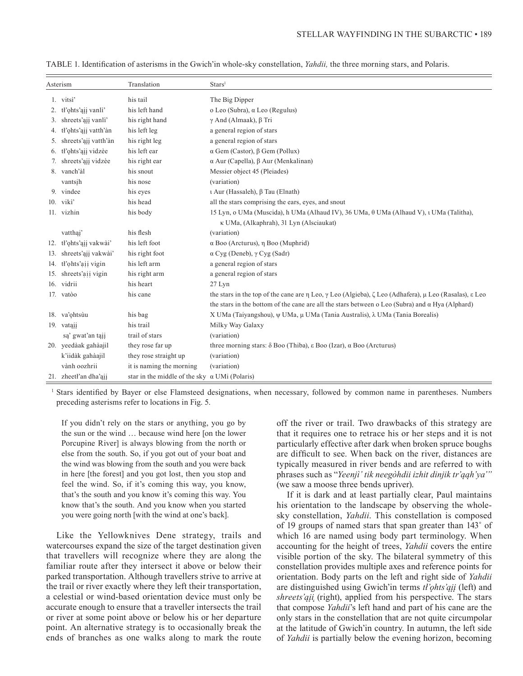| Asterism |                         | Translation                                          | Stars <sup>1</sup>                                                                                                                      |
|----------|-------------------------|------------------------------------------------------|-----------------------------------------------------------------------------------------------------------------------------------------|
|          | 1. vitsì'               | his tail                                             | The Big Dipper                                                                                                                          |
| 2.       | tł'ohts'ąjį vanli'      | his left hand                                        | o Leo (Subra), α Leo (Regulus)                                                                                                          |
| 3.       | shreets'ajj vanli'      | his right hand                                       | $\gamma$ And (Almaak), $\beta$ Tri                                                                                                      |
| 4.       | tł'ohts'ajį vatth'àn    | his left leg                                         | a general region of stars                                                                                                               |
| 5.       | shreets'ajj vatth'àn    | his right leg                                        | a general region of stars                                                                                                               |
| 6.       | tł'ohts'aii vidzèe      | his left ear                                         | $\alpha$ Gem (Castor), $\beta$ Gem (Pollux)                                                                                             |
| 7.       | shreets'ajj vidzèe      | his right ear                                        | $\alpha$ Aur (Capella), $\beta$ Aur (Menkalinan)                                                                                        |
|          | 8. vanch'àl             | his snout                                            | Messier object 45 (Pleiades)                                                                                                            |
|          | vantsih                 | his nose                                             | (variation)                                                                                                                             |
|          | 9. vindee               | his eyes                                             | ι Aur (Hassaleh), β Tau (Elnath)                                                                                                        |
|          | 10. viki'               | his head                                             | all the stars comprising the ears, eyes, and snout                                                                                      |
|          | 11. vizhin              | his body                                             | 15 Lyn, o UMa (Muscida), h UMa (Alhaud IV), 36 UMa, $\theta$ UMa (Alhaud V), t UMa (Talitha),                                           |
|          |                         |                                                      | κ UMa, (Alkaphrah), 31 Lyn (Alsciaukat)                                                                                                 |
|          | vatthai'                | his flesh                                            | (variation)                                                                                                                             |
|          | 12. tł'ohts'ąjį vakwài' | his left foot                                        | $\alpha$ Boo (Arcturus), $\eta$ Boo (Muphrid)                                                                                           |
|          | 13. shreets'aji vakwài' | his right foot                                       | $\alpha$ Cyg (Deneb), $\gamma$ Cyg (Sadr)                                                                                               |
|          | 14. tł'ohts'aii vigin   | his left arm                                         | a general region of stars                                                                                                               |
|          | 15. shreets'aii vigin   | his right arm                                        | a general region of stars                                                                                                               |
|          | 16. vidrii              | his heart                                            | $27$ Lyn                                                                                                                                |
|          | 17. vatòo               | his cane                                             | the stars in the top of the cane are $\eta$ Leo, $\gamma$ Leo (Algieba), $\zeta$ Leo (Adhafera), $\mu$ Leo (Rasalas), $\varepsilon$ Leo |
|          |                         |                                                      | the stars in the bottom of the cane are all the stars between o Leo (Subra) and $\alpha$ Hya (Alphard)                                  |
|          | 18. va'ohtsùu           | his bag                                              | X UMa (Taiyangshou), ψ UMa, μ UMa (Tania Australis), λ UMa (Tania Borealis)                                                             |
|          | 19. vataii              | his trail                                            | Milky Way Galaxy                                                                                                                        |
|          | są' gwat'an tąjį        | trail of stars                                       | (variation)                                                                                                                             |
|          | 20. yeedàak gahàajil    | they rose far up                                     | three morning stars: $\delta$ Boo (Thiba), $\epsilon$ Boo (Izar), $\alpha$ Boo (Arcturus)                                               |
|          | k'iidàk gahàajil        | they rose straight up                                | (variation)                                                                                                                             |
|          | vành oozhrii            | it is naming the morning                             | (variation)                                                                                                                             |
|          | 21. zheetl'an dha'ajj   | star in the middle of the sky $\alpha$ UMi (Polaris) |                                                                                                                                         |

TABLE 1. Identification of asterisms in the Gwich'in whole-sky constellation, *Yahdii,* the three morning stars, and Polaris.

<sup>1</sup> Stars identified by Bayer or else Flamsteed designations, when necessary, followed by common name in parentheses. Numbers preceding asterisms refer to locations in Fig. 5.

If you didn't rely on the stars or anything, you go by the sun or the wind … because wind here [on the lower Porcupine River] is always blowing from the north or else from the south. So, if you got out of your boat and the wind was blowing from the south and you were back in here [the forest] and you got lost, then you stop and feel the wind. So, if it's coming this way, you know, that's the south and you know it's coming this way. You know that's the south. And you know when you started you were going north [with the wind at one's back].

Like the Yellowknives Dene strategy, trails and watercourses expand the size of the target destination given that travellers will recognize where they are along the familiar route after they intersect it above or below their parked transportation. Although travellers strive to arrive at the trail or river exactly where they left their transportation, a celestial or wind-based orientation device must only be accurate enough to ensure that a traveller intersects the trail or river at some point above or below his or her departure point. An alternative strategy is to occasionally break the ends of branches as one walks along to mark the route

off the river or trail. Two drawbacks of this strategy are that it requires one to retrace his or her steps and it is not particularly effective after dark when broken spruce boughs are difficult to see. When back on the river, distances are typically measured in river bends and are referred to with phrases such as "Yeenjì' tik neegòhdii izhit dinjik tr'ąąh'ya'" (we saw a moose three bends upriver).

If it is dark and at least partially clear, Paul maintains his orientation to the landscape by observing the wholesky constellation, *Yahdii*. This constellation is composed of 19 groups of named stars that span greater than 143˚ of which 16 are named using body part terminology. When accounting for the height of trees, *Yahdii* covers the entire visible portion of the sky. The bilateral symmetry of this constellation provides multiple axes and reference points for orientation. Body parts on the left and right side of *Yahdii* are distinguished using Gwich'in terms *tł'ǫhts'ąįį* (left) and *shreets'ąįį* (right), applied from his perspective. The stars that compose *Yahdii*'s left hand and part of his cane are the only stars in the constellation that are not quite circumpolar at the latitude of Gwich'in country. In autumn, the left side of *Yahdii* is partially below the evening horizon, becoming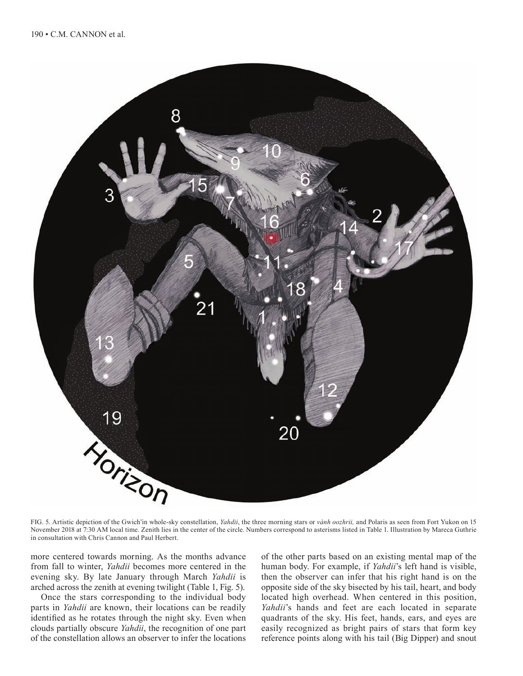![](_page_10_Picture_1.jpeg)

FIG. 5. Artistic depiction of the Gwich'in whole-sky constellation, *Yahdii*, the three morning stars or *vành oozhrii,* and Polaris as seen from Fort Yukon on 15 November 2018 at 7:30 AM local time. Zenith lies in the center of the circle. Numbers correspond to asterisms listed in Table 1. Illustration by Mareca Guthrie in consultation with Chris Cannon and Paul Herbert.

more centered towards morning. As the months advance from fall to winter, *Yahdii* becomes more centered in the evening sky. By late January through March *Yahdii* is arched across the zenith at evening twilight (Table 1, Fig. 5).

Once the stars corresponding to the individual body parts in *Yahdii* are known, their locations can be readily identified as he rotates through the night sky. Even when clouds partially obscure *Yahdii*, the recognition of one part of the constellation allows an observer to infer the locations

of the other parts based on an existing mental map of the human body. For example, if *Yahdii*'s left hand is visible, then the observer can infer that his right hand is on the opposite side of the sky bisected by his tail, heart, and body located high overhead. When centered in this position, *Yahdii*'s hands and feet are each located in separate quadrants of the sky. His feet, hands, ears, and eyes are easily recognized as bright pairs of stars that form key reference points along with his tail (Big Dipper) and snout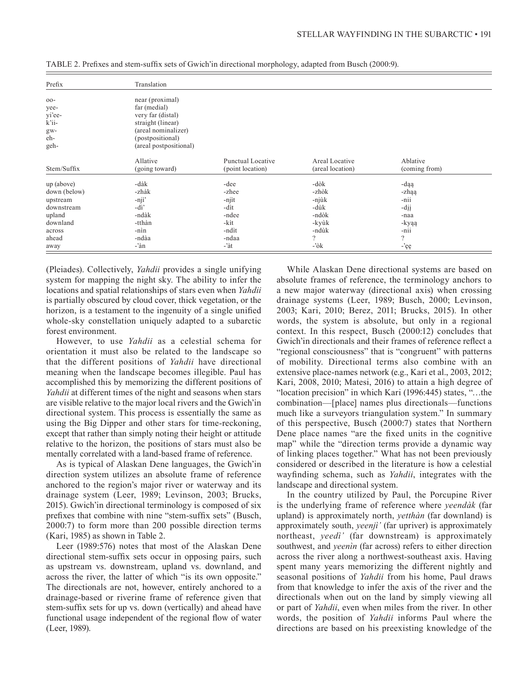| Prefix                                                  | Translation                                                                                                                                    |                          |                  |               |
|---------------------------------------------------------|------------------------------------------------------------------------------------------------------------------------------------------------|--------------------------|------------------|---------------|
| $00 -$<br>yee-<br>yi'ee-<br>k'ii-<br>gw-<br>eh-<br>geh- | near (proximal)<br>far (medial)<br>very far (distal)<br>straight (linear)<br>(areal nominalizer)<br>(postpositional)<br>(areal postpositional) |                          |                  |               |
| Stem/Suffix                                             | Allative                                                                                                                                       | <b>Punctual Locative</b> | Areal Locative   | Ablative      |
|                                                         | (going toward)                                                                                                                                 | (point location)         | (areal location) | (coming from) |
| up (above)                                              | -dàk                                                                                                                                           | -dee                     | -dòk             | -daa          |
| down (below)                                            | -zhàk                                                                                                                                          | -zhee                    | -zhòk            | -zhaa         |
| upstream                                                | -njì'                                                                                                                                          | -njìt                    | -njùk            | -nii          |
| downstream                                              | $-di'$                                                                                                                                         | -dìt                     | -dùk             | -dij          |
| upland                                                  | -ndàk                                                                                                                                          | -ndee                    | -ndòk            | -naa          |
| downland                                                | -tthàn                                                                                                                                         | -kìt                     | -kyùk            | -kyąą         |
| across                                                  | -nìn                                                                                                                                           | -ndìt                    | -ndùk            | -nii          |
| ahead                                                   | -ndàa                                                                                                                                          | -ndaa                    | $\gamma$         | $\Omega$      |
| away                                                    | -'àn                                                                                                                                           | $-$ 'àt                  | $-\delta k$      | -'ęę          |

TABLE 2. Prefixes and stem-suffix sets of Gwich'in directional morphology, adapted from Busch (2000:9).

(Pleiades). Collectively, *Yahdii* provides a single unifying system for mapping the night sky. The ability to infer the locations and spatial relationships of stars even when *Yahdii* is partially obscured by cloud cover, thick vegetation, or the horizon, is a testament to the ingenuity of a single unified whole-sky constellation uniquely adapted to a subarctic forest environment.

However, to use *Yahdii* as a celestial schema for orientation it must also be related to the landscape so that the different positions of *Yahdii* have directional meaning when the landscape becomes illegible. Paul has accomplished this by memorizing the different positions of *Yahdii* at different times of the night and seasons when stars are visible relative to the major local rivers and the Gwich'in directional system. This process is essentially the same as using the Big Dipper and other stars for time-reckoning, except that rather than simply noting their height or attitude relative to the horizon, the positions of stars must also be mentally correlated with a land-based frame of reference.

As is typical of Alaskan Dene languages, the Gwich'in direction system utilizes an absolute frame of reference anchored to the region's major river or waterway and its drainage system (Leer, 1989; Levinson, 2003; Brucks, 2015). Gwich'in directional terminology is composed of six prefixes that combine with nine "stem-suffix sets" (Busch, 2000:7) to form more than 200 possible direction terms (Kari, 1985) as shown in Table 2.

Leer (1989:576) notes that most of the Alaskan Dene directional stem-suffix sets occur in opposing pairs, such as upstream vs. downstream, upland vs. downland, and across the river, the latter of which "is its own opposite." The directionals are not, however, entirely anchored to a drainage-based or riverine frame of reference given that stem-suffix sets for up vs. down (vertically) and ahead have functional usage independent of the regional flow of water (Leer, 1989).

While Alaskan Dene directional systems are based on absolute frames of reference, the terminology anchors to a new major waterway (directional axis) when crossing drainage systems (Leer, 1989; Busch, 2000; Levinson, 2003; Kari, 2010; Berez, 2011; Brucks, 2015). In other words, the system is absolute, but only in a regional context. In this respect, Busch (2000:12) concludes that Gwich'in directionals and their frames of reference reflect a "regional consciousness" that is "congruent" with patterns of mobility. Directional terms also combine with an extensive place-names network (e.g., Kari et al., 2003, 2012; Kari, 2008, 2010; Matesi, 2016) to attain a high degree of "location precision" in which Kari (1996:445) states, "…the combination—[place] names plus directionals—functions much like a surveyors triangulation system." In summary of this perspective, Busch (2000:7) states that Northern Dene place names "are the fixed units in the cognitive map" while the "direction terms provide a dynamic way of linking places together." What has not been previously considered or described in the literature is how a celestial wayfinding schema, such as *Yahdii*, integrates with the landscape and directional system.

In the country utilized by Paul, the Porcupine River is the underlying frame of reference where *yeendàk* (far upland) is approximately north, *yetthàn* (far downland) is approximately south, *yeenjì'* (far upriver) is approximately northeast, *yeedì'* (far downstream) is approximately southwest, and *yeenìn* (far across) refers to either direction across the river along a northwest-southeast axis. Having spent many years memorizing the different nightly and seasonal positions of *Yahdii* from his home, Paul draws from that knowledge to infer the axis of the river and the directionals when out on the land by simply viewing all or part of *Yahdii*, even when miles from the river. In other words, the position of *Yahdii* informs Paul where the directions are based on his preexisting knowledge of the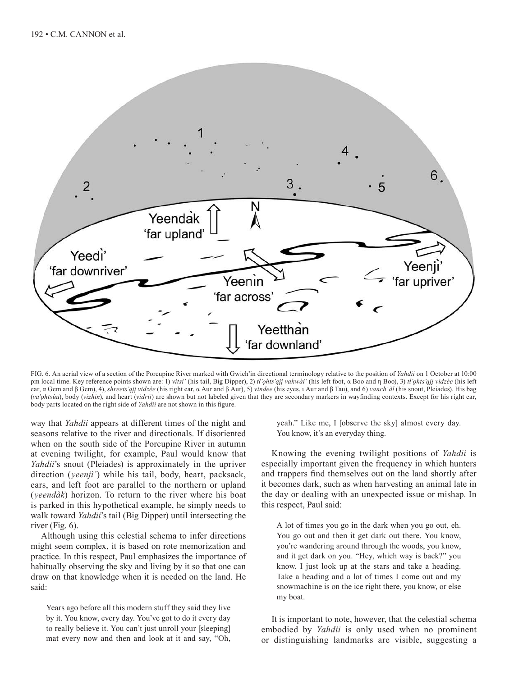![](_page_12_Figure_1.jpeg)

FIG. 6. An aerial view of a section of the Porcupine River marked with Gwich'in directional terminology relative to the position of *Yahdii* on 1 October at 10:00 pm local time. Key reference points shown are: 1) *vitsì'* (his tail, Big Dipper), 2) *tł'ǫhts'ąįį vakwài'* (his left foot, α Boo and η Boo), 3) *tł'ǫhts'ąįį vidzèe* (his left ear, α Gem and β Gem), 4), *shreets'ąįį vidzèe* (his right ear, α Aur and β Aur), 5) *vindee* (his eyes, ι Aur and β Tau), and 6) *vanch'àl* (his snout, Pleiades). His bag (*va'ǫhtsùu*), body (*vizhin*), and heart (*vidrii*) are shown but not labeled given that they are secondary markers in wayfinding contexts. Except for his right ear, body parts located on the right side of *Yahdii* are not shown in this figure.

way that *Yahdii* appears at different times of the night and seasons relative to the river and directionals. If disoriented when on the south side of the Porcupine River in autumn at evening twilight, for example, Paul would know that *Yahdii*'s snout (Pleiades) is approximately in the upriver direction (*yeenjì'*) while his tail, body, heart, packsack, ears, and left foot are parallel to the northern or upland (*yeendàk*) horizon. To return to the river where his boat is parked in this hypothetical example, he simply needs to walk toward *Yahdii*'s tail (Big Dipper) until intersecting the river (Fig. 6).

Although using this celestial schema to infer directions might seem complex, it is based on rote memorization and practice. In this respect, Paul emphasizes the importance of habitually observing the sky and living by it so that one can draw on that knowledge when it is needed on the land. He said:

Years ago before all this modern stuff they said they live by it. You know, every day. You've got to do it every day to really believe it. You can't just unroll your [sleeping] mat every now and then and look at it and say, "Oh, yeah." Like me, I [observe the sky] almost every day. You know, it's an everyday thing.

Knowing the evening twilight positions of *Yahdii* is especially important given the frequency in which hunters and trappers find themselves out on the land shortly after it becomes dark, such as when harvesting an animal late in the day or dealing with an unexpected issue or mishap. In this respect, Paul said:

A lot of times you go in the dark when you go out, eh. You go out and then it get dark out there. You know, you're wandering around through the woods, you know, and it get dark on you. "Hey, which way is back?" you know. I just look up at the stars and take a heading. Take a heading and a lot of times I come out and my snowmachine is on the ice right there, you know, or else my boat.

It is important to note, however, that the celestial schema embodied by *Yahdii* is only used when no prominent or distinguishing landmarks are visible, suggesting a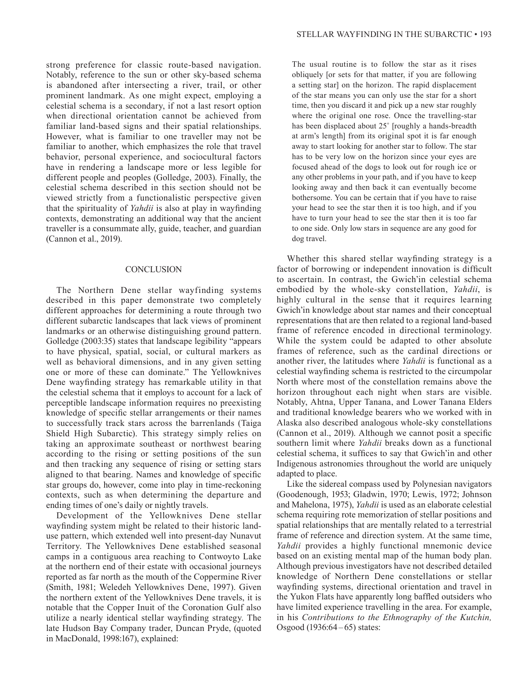strong preference for classic route-based navigation. Notably, reference to the sun or other sky-based schema is abandoned after intersecting a river, trail, or other prominent landmark. As one might expect, employing a celestial schema is a secondary, if not a last resort option when directional orientation cannot be achieved from familiar land-based signs and their spatial relationships. However, what is familiar to one traveller may not be familiar to another, which emphasizes the role that travel behavior, personal experience, and sociocultural factors have in rendering a landscape more or less legible for different people and peoples (Golledge, 2003). Finally, the celestial schema described in this section should not be viewed strictly from a functionalistic perspective given that the spirituality of *Yahdii* is also at play in wayfinding contexts, demonstrating an additional way that the ancient traveller is a consummate ally, guide, teacher, and guardian (Cannon et al., 2019).

#### **CONCLUSION**

The Northern Dene stellar wayfinding systems described in this paper demonstrate two completely different approaches for determining a route through two different subarctic landscapes that lack views of prominent landmarks or an otherwise distinguishing ground pattern. Golledge (2003:35) states that landscape legibility "appears to have physical, spatial, social, or cultural markers as well as behavioral dimensions, and in any given setting one or more of these can dominate." The Yellowknives Dene wayfinding strategy has remarkable utility in that the celestial schema that it employs to account for a lack of perceptible landscape information requires no preexisting knowledge of specific stellar arrangements or their names to successfully track stars across the barrenlands (Taiga Shield High Subarctic). This strategy simply relies on taking an approximate southeast or northwest bearing according to the rising or setting positions of the sun and then tracking any sequence of rising or setting stars aligned to that bearing. Names and knowledge of specific star groups do, however, come into play in time-reckoning contexts, such as when determining the departure and ending times of one's daily or nightly travels.

Development of the Yellowknives Dene stellar wayfinding system might be related to their historic landuse pattern, which extended well into present-day Nunavut Territory. The Yellowknives Dene established seasonal camps in a contiguous area reaching to Contwoyto Lake at the northern end of their estate with occasional journeys reported as far north as the mouth of the Coppermine River (Smith, 1981; Weledeh Yellowknives Dene, 1997). Given the northern extent of the Yellowknives Dene travels, it is notable that the Copper Inuit of the Coronation Gulf also utilize a nearly identical stellar wayfinding strategy. The late Hudson Bay Company trader, Duncan Pryde, (quoted in MacDonald, 1998:167), explained:

The usual routine is to follow the star as it rises obliquely [or sets for that matter, if you are following a setting star] on the horizon. The rapid displacement of the star means you can only use the star for a short time, then you discard it and pick up a new star roughly where the original one rose. Once the travelling-star has been displaced about 25˚ [roughly a hands-breadth at arm's length] from its original spot it is far enough away to start looking for another star to follow. The star has to be very low on the horizon since your eyes are focused ahead of the dogs to look out for rough ice or any other problems in your path, and if you have to keep looking away and then back it can eventually become bothersome. You can be certain that if you have to raise your head to see the star then it is too high, and if you have to turn your head to see the star then it is too far to one side. Only low stars in sequence are any good for dog travel.

Whether this shared stellar wayfinding strategy is a factor of borrowing or independent innovation is difficult to ascertain. In contrast, the Gwich'in celestial schema embodied by the whole-sky constellation, *Yahdii*, is highly cultural in the sense that it requires learning Gwich'in knowledge about star names and their conceptual representations that are then related to a regional land-based frame of reference encoded in directional terminology. While the system could be adapted to other absolute frames of reference, such as the cardinal directions or another river, the latitudes where *Yahdii* is functional as a celestial wayfinding schema is restricted to the circumpolar North where most of the constellation remains above the horizon throughout each night when stars are visible. Notably, Ahtna, Upper Tanana, and Lower Tanana Elders and traditional knowledge bearers who we worked with in Alaska also described analogous whole-sky constellations (Cannon et al., 2019). Although we cannot posit a specific southern limit where *Yahdii* breaks down as a functional celestial schema, it suffices to say that Gwich'in and other Indigenous astronomies throughout the world are uniquely adapted to place.

Like the sidereal compass used by Polynesian navigators (Goodenough, 1953; Gladwin, 1970; Lewis, 1972; Johnson and Mahelona, 1975), *Yahdii* is used as an elaborate celestial schema requiring rote memorization of stellar positions and spatial relationships that are mentally related to a terrestrial frame of reference and direction system. At the same time, *Yahdii* provides a highly functional mnemonic device based on an existing mental map of the human body plan. Although previous investigators have not described detailed knowledge of Northern Dene constellations or stellar wayfinding systems, directional orientation and travel in the Yukon Flats have apparently long baffled outsiders who have limited experience travelling in the area. For example, in his *Contributions to the Ethnography of the Kutchin,* Osgood (1936:64 –65) states: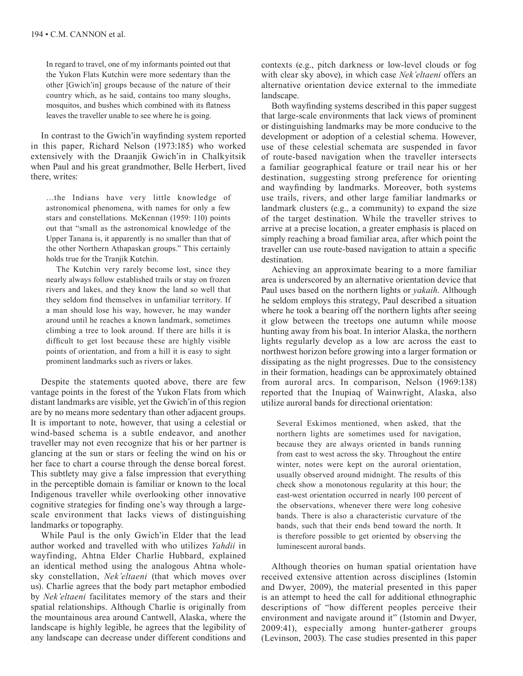In regard to travel, one of my informants pointed out that the Yukon Flats Kutchin were more sedentary than the other [Gwich'in] groups because of the nature of their country which, as he said, contains too many sloughs, mosquitos, and bushes which combined with its flatness leaves the traveller unable to see where he is going.

In contrast to the Gwich'in wayfinding system reported in this paper, Richard Nelson (1973:185) who worked extensively with the Draanjik Gwich'in in Chalkyitsik when Paul and his great grandmother, Belle Herbert, lived there, writes:

…the Indians have very little knowledge of astronomical phenomena, with names for only a few stars and constellations. McKennan (1959: 110) points out that "small as the astronomical knowledge of the Upper Tanana is, it apparently is no smaller than that of the other Northern Athapaskan groups." This certainly holds true for the Tranjik Kutchin.

The Kutchin very rarely become lost, since they nearly always follow established trails or stay on frozen rivers and lakes, and they know the land so well that they seldom find themselves in unfamiliar territory. If a man should lose his way, however, he may wander around until he reaches a known landmark, sometimes climbing a tree to look around. If there are hills it is difficult to get lost because these are highly visible points of orientation, and from a hill it is easy to sight prominent landmarks such as rivers or lakes.

Despite the statements quoted above, there are few vantage points in the forest of the Yukon Flats from which distant landmarks are visible, yet the Gwich'in of this region are by no means more sedentary than other adjacent groups. It is important to note, however, that using a celestial or wind-based schema is a subtle endeavor, and another traveller may not even recognize that his or her partner is glancing at the sun or stars or feeling the wind on his or her face to chart a course through the dense boreal forest. This subtlety may give a false impression that everything in the perceptible domain is familiar or known to the local Indigenous traveller while overlooking other innovative cognitive strategies for finding one's way through a largescale environment that lacks views of distinguishing landmarks or topography.

While Paul is the only Gwich'in Elder that the lead author worked and travelled with who utilizes *Yahdii* in wayfinding, Ahtna Elder Charlie Hubbard, explained an identical method using the analogous Ahtna wholesky constellation, *Nek'eltaeni* (that which moves over us). Charlie agrees that the body part metaphor embodied by *Nek'eltaeni* facilitates memory of the stars and their spatial relationships. Although Charlie is originally from the mountainous area around Cantwell, Alaska, where the landscape is highly legible, he agrees that the legibility of any landscape can decrease under different conditions and contexts (e.g., pitch darkness or low-level clouds or fog with clear sky above), in which case *Nek'eltaeni* offers an alternative orientation device external to the immediate landscape.

Both wayfinding systems described in this paper suggest that large-scale environments that lack views of prominent or distinguishing landmarks may be more conducive to the development or adoption of a celestial schema. However, use of these celestial schemata are suspended in favor of route-based navigation when the traveller intersects a familiar geographical feature or trail near his or her destination, suggesting strong preference for orienting and wayfinding by landmarks. Moreover, both systems use trails, rivers, and other large familiar landmarks or landmark clusters (e.g., a community) to expand the size of the target destination. While the traveller strives to arrive at a precise location, a greater emphasis is placed on simply reaching a broad familiar area, after which point the traveller can use route-based navigation to attain a specific destination.

Achieving an approximate bearing to a more familiar area is underscored by an alternative orientation device that Paul uses based on the northern lights or *yakaih*. Although he seldom employs this strategy, Paul described a situation where he took a bearing off the northern lights after seeing it glow between the treetops one autumn while moose hunting away from his boat. In interior Alaska, the northern lights regularly develop as a low arc across the east to northwest horizon before growing into a larger formation or dissipating as the night progresses. Due to the consistency in their formation, headings can be approximately obtained from auroral arcs. In comparison, Nelson (1969:138) reported that the Inupiaq of Wainwright, Alaska, also utilize auroral bands for directional orientation:

Several Eskimos mentioned, when asked, that the northern lights are sometimes used for navigation, because they are always oriented in bands running from east to west across the sky. Throughout the entire winter, notes were kept on the auroral orientation, usually observed around midnight. The results of this check show a monotonous regularity at this hour; the east-west orientation occurred in nearly 100 percent of the observations, whenever there were long cohesive bands. There is also a characteristic curvature of the bands, such that their ends bend toward the north. It is therefore possible to get oriented by observing the luminescent auroral bands.

Although theories on human spatial orientation have received extensive attention across disciplines (Istomin and Dwyer, 2009), the material presented in this paper is an attempt to heed the call for additional ethnographic descriptions of "how different peoples perceive their environment and navigate around it" (Istomin and Dwyer, 2009:41), especially among hunter-gatherer groups (Levinson, 2003). The case studies presented in this paper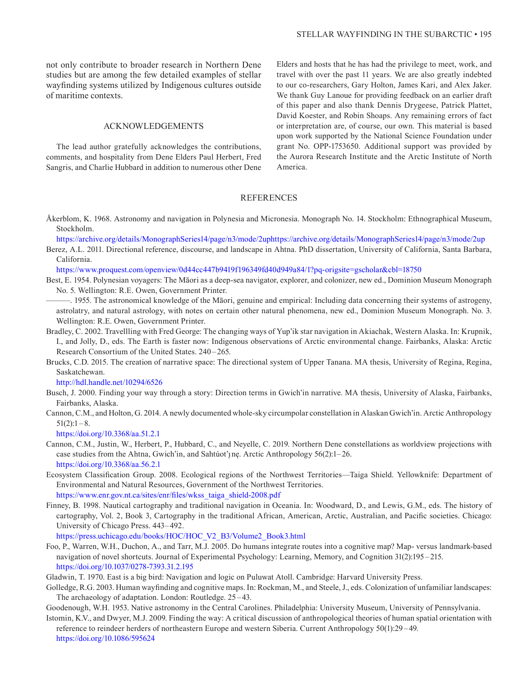not only contribute to broader research in Northern Dene studies but are among the few detailed examples of stellar wayfinding systems utilized by Indigenous cultures outside of maritime contexts.

#### ACKNOWLEDGEMENTS

The lead author gratefully acknowledges the contributions, comments, and hospitality from Dene Elders Paul Herbert, Fred Sangris, and Charlie Hubbard in addition to numerous other Dene Elders and hosts that he has had the privilege to meet, work, and travel with over the past 11 years. We are also greatly indebted to our co-researchers, Gary Holton, James Kari, and Alex Jaker. We thank Guy Lanoue for providing feedback on an earlier draft of this paper and also thank Dennis Drygeese, Patrick Plattet, David Koester, and Robin Shoaps. Any remaining errors of fact or interpretation are, of course, our own. This material is based upon work supported by the National Science Foundation under grant No. OPP-1753650. Additional support was provided by the Aurora Research Institute and the Arctic Institute of North America.

## REFERENCES

- Åkerblom, K. 1968. Astronomy and navigation in Polynesia and Micronesia. Monograph No. 14. Stockholm: Ethnographical Museum, Stockholm.
- <https://archive.org/details/MonographSeries14/page/n3/mode/2uphttps://archive.org/details/MonographSeries14/page/n3/mode/2up>
- Berez, A.L. 2011. Directional reference, discourse, and landscape in Ahtna. PhD dissertation, University of California, Santa Barbara, California.

h<ttps://www.proquest.com/openview/0d44cc447b9419f196349fd40d949a84/1?pq-origsite=gscholar&cbl=18750>

- Best, E. 1954. Polynesian voyagers: The Māori as a deep-sea navigator, explorer, and colonizer, new ed., Dominion Museum Monograph No. 5. Wellington: R.E. Owen, Government Printer.
- ———. 1955. The astronomical knowledge of the Māori, genuine and empirical: Including data concerning their systems of astrogeny, astrolatry, and natural astrology, with notes on certain other natural phenomena, new ed., Dominion Museum Monograph. No. 3. Wellington: R.E. Owen, Government Printer.
- Bradley, C. 2002. Travellling with Fred George: The changing ways of Yup'ik star navigation in Akiachak, Western Alaska. In: Krupnik, I., and Jolly, D., eds. The Earth is faster now: Indigenous observations of Arctic environmental change. Fairbanks, Alaska: Arctic Research Consortium of the United States. 240 –265.
- Brucks, C.D. 2015. The creation of narrative space: The directional system of Upper Tanana. MA thesis, University of Regina, Regina, Saskatchewan.

h<ttp://hdl.handle.net/10294/6526>

- Busch, J. 2000. Finding your way through a story: Direction terms in Gwich'in narrative. MA thesis, University of Alaska, Fairbanks, Fairbanks, Alaska.
- Cannon, C.M., and Holton, G. 2014. A newly documented whole-sky circumpolar constellation in Alaskan Gwich'in. Arctic Anthropology  $51(2):1-8.$

h<ttps://doi.org/10.3368/aa.51.2.1>

- Cannon, C.M., Justin, W., Herbert, P., Hubbard, C., and Neyelle, C. 2019. Northern Dene constellations as worldview projections with case studies from the Ahtna, Gwich'in, and Sahtúot'<sub>1</sub> ne. Arctic Anthropology 56(2):1-26. h<ttps://doi.org/10.3368/aa.56.2.1>
- Ecosystem Classification Group. 2008. Ecological regions of the Northwest Territories—Taiga Shield. Yellowknife: Department of Environmental and Natural Resources, Government of the Northwest Territories. h[ttps://www.enr.gov.nt.ca/sites/enr/files/wkss\\_taiga\\_shield-2008.pdf](ttps://www.enr.gov.nt.ca/sites/enr/files/wkss_taiga_shield-2008.pdf)
- Finney, B. 1998. Nautical cartography and traditional navigation in Oceania. In: Woodward, D., and Lewis, G.M., eds. The history of cartography, Vol. 2, Book 3, Cartography in the traditional African, American, Arctic, Australian, and Pacific societies. Chicago: University of Chicago Press. 443– 492.

h[ttps://press.uchicago.edu/books/HOC/HOC\\_V2\\_B3/Volume2\\_Book3.html](ttps://press.uchicago.edu/books/HOC/HOC_V2_B3/Volume2_Book3.html)

- Foo, P., Warren, W.H., Duchon, A., and Tarr, M.J. 2005. Do humans integrate routes into a cognitive map? Map- versus landmark-based navigation of novel shortcuts. Journal of Experimental Psychology: Learning, Memory, and Cognition 31(2):195 – 215. h<ttps://doi.org/10.1037/0278-7393.31.2.195>
- Gladwin, T. 1970. East is a big bird: Navigation and logic on Puluwat Atoll. Cambridge: Harvard University Press.
- Golledge, R.G. 2003. Human wayfinding and cognitive maps. In: Rockman, M., and Steele, J., eds. Colonization of unfamiliar landscapes: The archaeology of adaptation. London: Routledge. 25 –43.
- Goodenough, W.H. 1953. Native astronomy in the Central Carolines. Philadelphia: University Museum, University of Pennsylvania.
- Istomin, K.V., and Dwyer, M.J. 2009. Finding the way: A critical discussion of anthropological theories of human spatial orientation with reference to reindeer herders of northeastern Europe and western Siberia. Current Anthropology 50(1):29 –49. h[ttps://doi.org/10.1086/595](ttps://doi.org/10.1086/595624Elders)624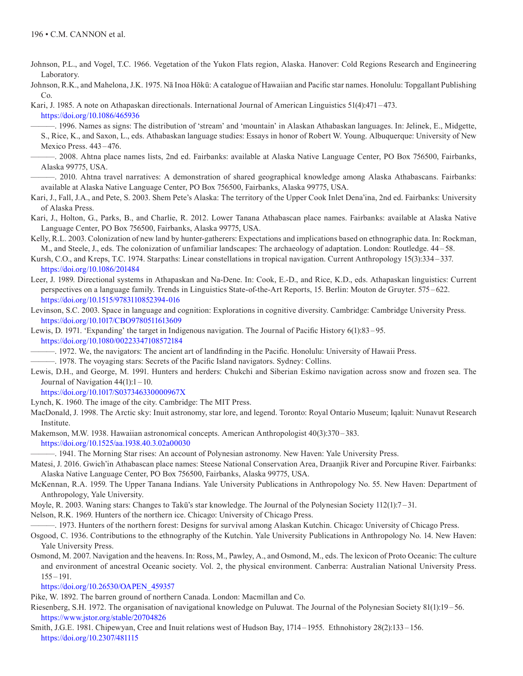- Johnson, P.L., and Vogel, T.C. 1966. Vegetation of the Yukon Flats region, Alaska. Hanover: Cold Regions Research and Engineering Laboratory.
- Johnson, R.K., and Mahelona, J.K. 1975. Nā Inoa Hōkū: A catalogue of Hawaiian and Pacific star names. Honolulu: Topgallant Publishing Co.

Kari, J. 1985. A note on Athapaskan directionals. International Journal of American Linguistics 51(4):471 – 473. h<ttps://doi.org/10.1086/465936>

- ———. 1996. Names as signs: The distribution of 'stream' and 'mountain' in Alaskan Athabaskan languages. In: Jelinek, E., Midgette, S., Rice, K., and Saxon, L., eds. Athabaskan language studies: Essays in honor of Robert W. Young. Albuquerque: University of New Mexico Press. 443–476.
- ———. 2008. Ahtna place names lists, 2nd ed. Fairbanks: available at Alaska Native Language Center, PO Box 756500, Fairbanks, Alaska 99775, USA.
- ———. 2010. Ahtna travel narratives: A demonstration of shared geographical knowledge among Alaska Athabascans. Fairbanks: available at Alaska Native Language Center, PO Box 756500, Fairbanks, Alaska 99775, USA.
- Kari, J., Fall, J.A., and Pete, S. 2003. Shem Pete's Alaska: The territory of the Upper Cook Inlet Dena'ina, 2nd ed. Fairbanks: University of Alaska Press.
- Kari, J., Holton, G., Parks, B., and Charlie, R. 2012. Lower Tanana Athabascan place names. Fairbanks: available at Alaska Native Language Center, PO Box 756500, Fairbanks, Alaska 99775, USA.
- Kelly, R.L. 2003. Colonization of new land by hunter-gatherers: Expectations and implications based on ethnographic data. In: Rockman, M., and Steele, J., eds. The colonization of unfamiliar landscapes: The archaeology of adaptation. London: Routledge. 44 –58.
- Kursh, C.O., and Kreps, T.C. 1974. Starpaths: Linear constellations in tropical navigation. Current Anthropology 15(3):334 –337. h<ttps://doi.org/10.1086/201484>
- Leer, J. 1989. Directional systems in Athapaskan and Na-Dene. In: Cook, E.-D., and Rice, K.D., eds. Athapaskan linguistics: Current perspectives on a language family. Trends in Linguistics State-of-the-Art Reports, 15. Berlin: Mouton de Gruyter. 575 –622. h<ttps://doi.org/10.1515/9783110852394-016>
- Levinson, S.C. 2003. Space in language and cognition: Explorations in cognitive diversity. Cambridge: Cambridge University Press. h<ttps://doi.org/10.1017/CBO9780511613609>
- Lewis, D. 1971. 'Expanding' the target in Indigenous navigation. The Journal of Pacific History 6(1):83 –95. h<ttps://doi.org/10.1080/00223347108572184>
- ———. 1972. We, the navigators: The ancient art of landfinding in the Pacific. Honolulu: University of Hawaii Press.
- ———. 1978. The voyaging stars: Secrets of the Pacific Island navigators. Sydney: Collins.
- Lewis, D.H., and George, M. 1991. Hunters and herders: Chukchi and Siberian Eskimo navigation across snow and frozen sea. The Journal of Navigation  $44(1)$ : $1 - 10$ .
	- h<ttps://doi.org/10.1017/S037346330000967X>
- Lynch, K. 1960. The image of the city. Cambridge: The MIT Press.
- MacDonald, J. 1998. The Arctic sky: Inuit astronomy, star lore, and legend. Toronto: Royal Ontario Museum; Iqaluit: Nunavut Research Institute.
- Makemson, M.W. 1938. Hawaiian astronomical concepts. American Anthropologist 40(3):370 –383. h<ttps://doi.org/10.1525/aa.1938.40.3.02a00030>
- ———. 1941. The Morning Star rises: An account of Polynesian astronomy. New Haven: Yale University Press.
- Matesi, J. 2016. Gwich'in Athabascan place names: Steese National Conservation Area, Draanjik River and Porcupine River. Fairbanks: Alaska Native Language Center, PO Box 756500, Fairbanks, Alaska 99775, USA.
- McKennan, R.A. 1959. The Upper Tanana Indians. Yale University Publications in Anthropology No. 55. New Haven: Department of Anthropology, Yale University.
- Moyle, R. 2003. Waning stars: Changes to Takū's star knowledge. The Journal of the Polynesian Society 112(1):7 31.
- Nelson, R.K. 1969. Hunters of the northern ice. Chicago: University of Chicago Press.
- ———. 1973. Hunters of the northern forest: Designs for survival among Alaskan Kutchin. Chicago: University of Chicago Press.
- Osgood, C. 1936. Contributions to the ethnography of the Kutchin. Yale University Publications in Anthropology No. 14. New Haven: Yale University Press.
- Osmond, M. 2007. Navigation and the heavens. In: Ross, M., Pawley, A., and Osmond, M., eds. The lexicon of Proto Oceanic: The culture and environment of ancestral Oceanic society. Vol. 2, the physical environment. Canberra: Australian National University Press. 155 –191.

h[ttps://doi.org/10.26530/OAPEN\\_459357](ttps://doi.org/10.26530/OAPEN_459357)

- Pike, W. 1892. The barren ground of northern Canada. London: Macmillan and Co.
- Riesenberg, S.H. 1972. The organisation of navigational knowledge on Puluwat. The Journal of the Polynesian Society 81(1):19 –56. <https://www.jstor.org/stable/20704826>
- Smith, J.G.E. 1981. Chipewyan, Cree and Inuit relations west of Hudson Bay, 1714 –1955. Ethnohistory 28(2):133 156. https://doi.org/10.2307/481115